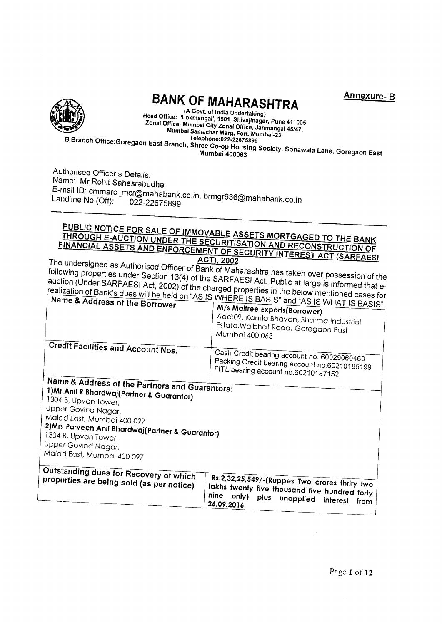

# **BANK OF MAHARASHTRA**

Annexure-B

(A Govt. of India Undertaking) Head Office: 'Lokmangal', 1501, Shivajinagar, Pune 411005 The Christian London (State of Library Christmaser, Fig. 2014)<br>Zonal Office: Mumbai City Zonal Office, Janmangal 45/47, Millet Manusch Sity Schol, Street, Mumbai-23 B Branch Office:Goregaon East Branch, Shree Co-op Housing Society, Sonawala Lane, Goregaon East

Authorised Officer's Details: Name: Mr Rohit Sahasrabudhe E-mail ID: cmmarc\_mcr@mahabank.co.in, brmgr636@mahabank.co.in Landline No (Off): 022-22675899

# PUBLIC NOTICE FOR SALE OF IMMOVABLE ASSETS MORTGAGED TO THE BANK THROUGH E-AUCTION UNDER THE SECURITISATION AND RECONSTRUCTION OF FINANCIAL ASSETS AND ENFORCEMENT OF SECURITY INTEREST ACT (SARFAES)

The undersigned as Authorised Officer of Bank of Maharashtra has taken over possession of the following properties under Section 13(4) of the SARFAESI Act. Public at large is informed that eauction (Under SARFAESI Act, 2002) of the charged properties in the below mentioned cases for realization of Bank's dues will be held on "AS IS WHERE IS BASIS" and "AS

| ivality of Address of the Borrower                                                                                                                                                                                                                                                                             | NE TO DADIS AND AS IS WHAT IS BASIS"                                                                                                                                   |
|----------------------------------------------------------------------------------------------------------------------------------------------------------------------------------------------------------------------------------------------------------------------------------------------------------------|------------------------------------------------------------------------------------------------------------------------------------------------------------------------|
|                                                                                                                                                                                                                                                                                                                | M/s Maitree Exports(Borrower)<br>Add:09, Kamla Bhavan, Sharma Industrial                                                                                               |
|                                                                                                                                                                                                                                                                                                                | Estate, Walbhat Road, Goregaon East<br>Mumbai 400 063                                                                                                                  |
| <b>Credit Facilities and Account Nos.</b>                                                                                                                                                                                                                                                                      | Cash Credit bearing account no. 60029060460<br>Packing Credit bearing account no.60210185199<br>FITL bearing account no.60210187152                                    |
| Name & Address of the Partners and Guarantors:<br>1) Mr. Anil R Bhardwaj (Partner & Guarantor)<br>1304 B, Upvan Tower,<br>Upper Govind Nagar,<br>Malad East, Mumbai 400 097<br>2) Mrs Parveen Anil Bhardwaj (Partner & Guarantor)<br>1304 B, Upvan Tower,<br>Upper Govind Nagar,<br>Malad East, Mumbai 400 097 |                                                                                                                                                                        |
| Outstanding dues for Recovery of which<br>properties are being sold (as per notice)                                                                                                                                                                                                                            | Rs.2,32,25,549/-(Ruppes Two crores thrity two<br>lakhs twenty five thousand five hundred forty<br>nine<br>only)<br>plus<br>unapplied<br>interest<br>from<br>26.09.2016 |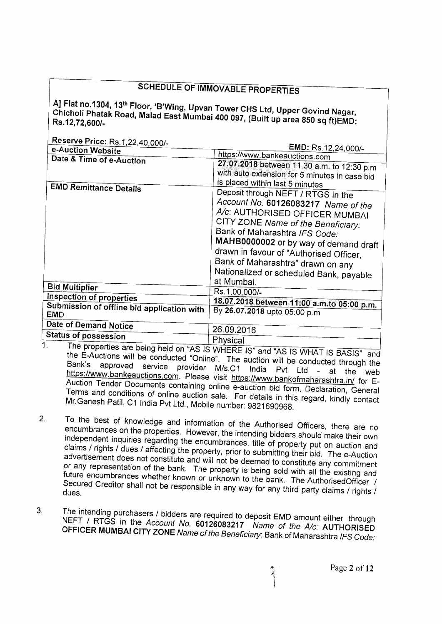# **SCHEDULE OF IMMOVABLE PROPERTIES**

A] Flat no.1304, 13<sup>th</sup> Floor, 'B'Wing, Upvan Tower CHS Ltd, Upper Govind Nagar, Chicholi Phatak Road, Malad East Mumbai 400 097, (Built up area 850 sq ft)EMD:

Reserve Price: Rs 1.22.40.000/-

| e-Auction Website                                         | <b>EMD:</b> Rs.12,24,000/-                                                                                                                                                                                                                                                                                                                             |
|-----------------------------------------------------------|--------------------------------------------------------------------------------------------------------------------------------------------------------------------------------------------------------------------------------------------------------------------------------------------------------------------------------------------------------|
|                                                           | https://www.bankeauctions.com                                                                                                                                                                                                                                                                                                                          |
| Date & Time of e-Auction<br><b>EMD Remittance Details</b> | 27.07.2018 between 11.30 a.m. to 12:30 p.m.<br>with auto extension for 5 minutes in case bid<br>is placed within last 5 minutes                                                                                                                                                                                                                        |
|                                                           | Deposit through NEFT / RTGS in the<br>Account No. 60126083217 Name of the<br>A/c: AUTHORISED OFFICER MUMBAI<br>CITY ZONE Name of the Beneficiary:<br>Bank of Maharashtra IFS Code:<br>MAHB0000002 or by way of demand draft<br>drawn in favour of "Authorised Officer,<br>Bank of Maharashtra" drawn on any<br>Nationalized or scheduled Bank, payable |
| <b>Bid Multiplier</b>                                     | at Mumbai.<br>Rs.1,00,000/-                                                                                                                                                                                                                                                                                                                            |
| Inspection of properties                                  |                                                                                                                                                                                                                                                                                                                                                        |
| Submission of offline bid application with<br>EMD         | 18.07.2018 between 11:00 a.m.to 05:00 p.m.<br>By 26.07.2018 upto 05:00 p.m                                                                                                                                                                                                                                                                             |
| <b>Date of Demand Notice</b>                              | 26.09.2016                                                                                                                                                                                                                                                                                                                                             |
| <b>Status of possession</b>                               |                                                                                                                                                                                                                                                                                                                                                        |
|                                                           | Physical                                                                                                                                                                                                                                                                                                                                               |

- The properties are being held on "AS IS WHERE IS" and "AS IS WHAT IS BASIS" and  $\mathbf{1}$ . the E-Auctions will be conducted "Online". The auction will be conducted through the Bank's approved service provider M/s.C1 India Pvt Ltd - at the web https://www.bankeauctions.com. Please visit https://www.bankofmaharashtra.in/ for E-Auction Tender Documents containing online e-auction bid form, Declaration, General Terms and conditions of online auction sale. For details in this regard, kindly contact Mr. Ganesh Patil, C1 India Pvt Ltd., Mobile number: 9821690968.
- To the best of knowledge and information of the Authorised Officers, there are no  $2.$ encumbrances on the properties. However, the intending bidders should make their own independent inquiries regarding the encumbrances, title of property put on auction and claims / rights / dues / affecting the property, prior to submitting their bid. The e-Auction advertisement does not constitute and will not be deemed to constitute any commitment or any representation of the bank. The property is being sold with all the existing and future encumbrances whether known or unknown to the bank. The AuthorisedOfficer / Secured Creditor shall not be responsible in any way for any third party claims / rights /
- The intending purchasers / bidders are required to deposit EMD amount either through  $3<sub>l</sub>$ NEFT / RTGS in the Account No. 60126083217 Name of the A/c: AUTHORISED OFFICER MUMBAI CITY ZONE Name of the Beneficiary: Bank of Maharashtra IFS Code: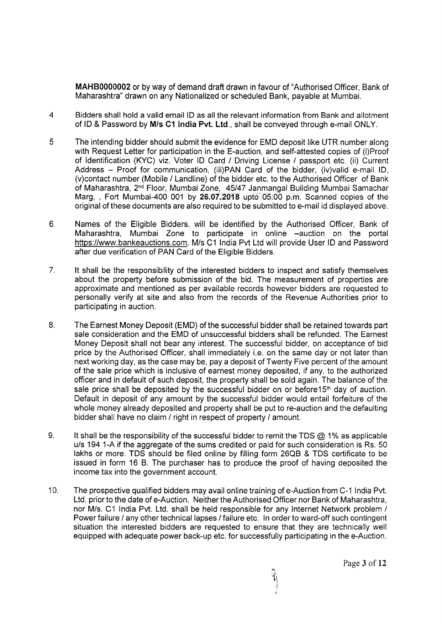MAHB0000002 or by way of demand draft drawn in favour of "Authorised Officer, Bank of Maharashtra" drawn on any Nationalized or scheduled Bank, payable at Mumbai.

- $\overline{4}$ Bidders shall hold a valid email ID as all the relevant information from Bank and allotment of ID & Password by M/s C1 India Pvt. Ltd., shall be conveyed through e-mail ONLY.
- $5<sub>1</sub>$ The intending bidder should submit the evidence for EMD deposit like UTR number along with Request Letter for participation in the E-auction, and self-attested copies of (i)Proof of ldentificittion (KYC) viz. Voter lD Card / Driving License / passport etc. (ii) Current Address - Proof for communication, (iii)PAN Card of the bidder, (iv)valid e-mail ID, (v)contact number (Mobile / Landline) of the bidder etc. to the Authorised Officer of Bank of Maharashtra, 2<sup>nd</sup> Floor, Mumbai Zone, 45/47 Janmangal Building Mumbai Samachar Marg, , Fort Mumbai-4OO 001 by 26.07.2018 upto 05:00 p.m. Scanned copies of the original of these documents are also required to be submitted to e-mail id displayed above.
- 6. Names of the Eligible Bidders, will be identified by the Authorised Officer, Bank of Maharashtra, Mumbai Zone to participate in online -auction on the portal https://www.bankeauctions.com. M/s C1 India Pvt Ltd will provide User ID and Password after due verification of PAN Card of the Eligible Bidders.
- 7. It shall be the responsibility of the interested bidders to inspect and satisfy themselves about the property before submission of the bid. The measurement of properties are approximate and mentioned as per available records however bidders are requested to personally verify at site and also from the records of the Revenue Authorities prior to participating in auction.
- 8. The Earnes;t Money Deposit (EMD) of the successful bidder shall be retained towards part sale consideration and the EMD of unsuccessful bidders shall be refunded. The Earnest Money Deposit shall not bear any interest. The successful bidder, on acceptance of bid price by the Authorised Officer, shall immediately i.e. on the same day or not later than next working day, as the case may be, pay a deposit of Twenty Five percent of the amount of the sale price which is inclusive of earnest money deposited, if any, to the authorized officer and in default of such deposit, the property shall be sold again. The balance of the sale price shall be deposited by the successful bidder on or before  $15<sup>th</sup>$  day of auction. Default in deposit of any amount by the successful bidder would entail forfeiture of the whole money already deposited and property shall be put to re-auction and the defaulting bidder shall have no claim / right in respect of property / amount.
- 9. It shall be the responsibility of the successful bidder to remit the TDS  $@$  1% as applicable u/s 194 1-A if the aggregate of the sums credited or paid for such consideration is Rs. 50 lakhs or more. TDS should be filed online by filling form 26QB & TDS certificate to be issued in form 16 B. The purchaser has to produce the proof of having deposited the income tax into the government account.
- 10. The prospective qualified bidders may avail online training of e-Auction from C-1 India Pvt. Ltd. prior to the date of e-Auction. Neither the Authorised Officer nor Bank of Maharashtra, nor M/s. C1 India Pvt. Ltd. shall be held responsible for any Internet Network problem / Power failure / any other technical lapses / failure etc. In order to ward-off such contingent situation the interested bidders are requested to ensure that they are technically well equipped with adequate power back-up etc. for successfully participating in the e-Auction.

ti i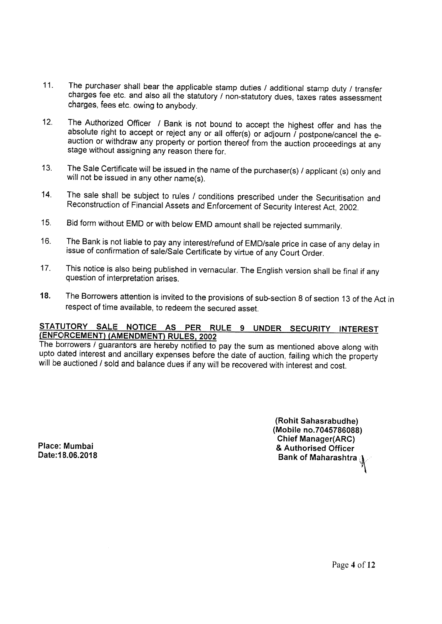- 11. The purchaser shall bear the applicable stamp duties / additional stamp duty / transfer charges fee etc. and also all the statutory / non-statutory dues, taxes rates assessment charges, fees etc. owing to anybody.
- 12. The Authorized Officer / Bank is not bound to accept the highest offer and has the absolute right to accept or reject any or all offer(s) or adjourn / postpone/cancel the e-<br>auction or withdraw any property or portion ther stage without assigning any reason there for.
- 13 The Sale Certificate will be issued in the name of the purchaser(s) / applicant (s) onty and will not be issued in any other name(s).
- 14. The sale shall be subject to rules / conditions prescribed under the Securitisation and Reconstruction of Financial Assets and Enforcement of Security Interest Act, 2002.
- Bid form without EMD or with below EMD amount shall be rejected summarily. 15.
- The Bank is not liable to pay any interesVrefund of EMD/sale price in case of any delay in issue of confirmation of sale/Sale Certificate by virtue of any Court Order. 16.
- This notice is also being published in vernacular. The English version shall be final if any question of interpretation arises. 17.
- The Borrowers attention is invited to the provisions of sub-section 8 of section 13 of the Act in respect of time available, to redeem the secured asset. 18.

## STATUTORY SALE NOTICE AS PER RULE 9 UNDER SECURITY INTEREST (ENFORCEMENT) (AMENDMENT) RULES, 2002

The borrowers / guarantors are hereby notified to pay the sum as mentioned above along with upto dated interest and ancillary expenses before the date of auction, failing which the property will be auctioned / sold and balance dues if any will be recovered with interest and cost.

> (Rohit Sahasrabudhe) (Mobile no.7045786088) Chief Manager(ARC) & Authorised Officer Bank of Maharashtra  $\boldsymbol{y}$

Place: Mumbai Date: 18.06.2018

Page 4 of 12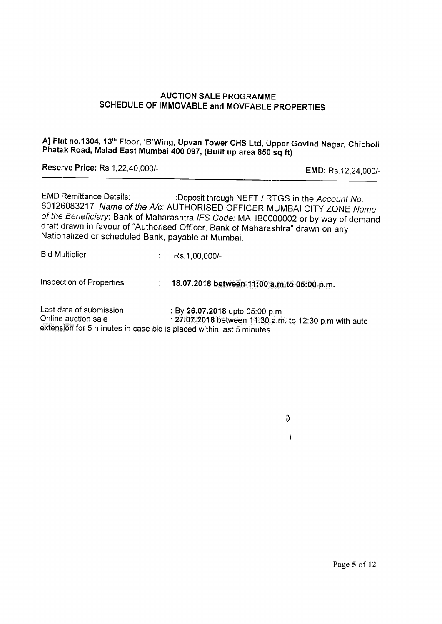## AUCTION SALE PROGRAMME SCHEDULE OF IMMOVABLE and MOVEABLE PROPERTIES

A] Flat no.1304, 13<sup>th</sup> Floor, 'B'Wing, Upvan Tower CHS Ltd, Upper Govind Nagar, Chicholi Phatak Road, Malad East Mumbai 400 097, (Built up area 850 sq ft)

Reserue Price: Rs.1 ,22,40,000/-

EMD: Rs.12,24,000/-

EMD Remittance Details: : :Deposit through NEFT / RTGS in the Account No. 60126083217 Name of the A/c: AUTHORISED OFFICER MUMBAI CITY ZONE Name of the Beneficiary: Bank of Maharashtra IFS Code: MAHB0000002 or by way of demand draft drawn in favour of "Authorised Officer, Bank of Maharashtra" drawn on any Nationalized or scheduled Bank, payable at Mumbai,

| <b>Bid Multiplier</b>                          | Rs.1,00,000/-                                                                           |
|------------------------------------------------|-----------------------------------------------------------------------------------------|
| Inspection of Properties                       | 18.07.2018 between 11:00 a.m.to 05:00 p.m.                                              |
| Last date of submission<br>Online auction sale | : By 26.07.2018 upto 05:00 p.m<br>$-27$ 07 0010 hot son 11.00 - $\ldots$ 10.00 $\ldots$ |

Online auction sale  $\; : \; 27.07.2018$  between 11.30 a.m. to 12:30 p.m with auto extension for 5 minutes in case bid is placed within last 5 minutes

y

I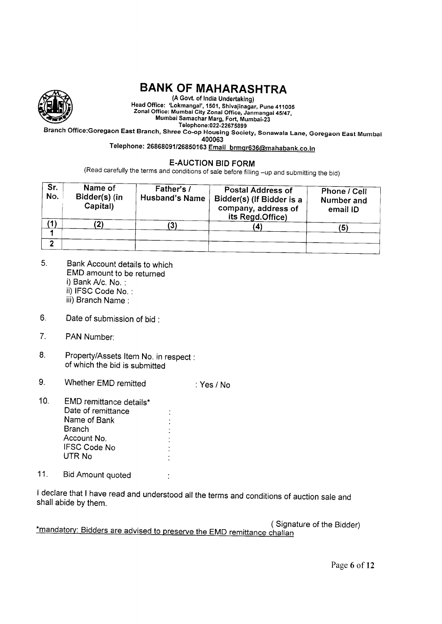

# BANK OF MAHARASHTRA

(A Govt. of India Undertaking) Head Office: 'Lokmangal', 1501, Shivajinagar, Pune 411005 Zonal Office: Mumbai City Zonal Office, Janmangal 45/47, Mumbai Samachar Marg, Fort, Mumbai\_23

Tele processes Land Deckember 2022 September 2022 Spanch Office:Goregaon East Mumbai<br>Branch Office:Goregaon East Branch, Shree Co-op Housing Society, Sonawala Lane, Goregaon East Mumbai

400063

Telephone: 26868091/26850163 Email brmgr636@mahabank.co.in

## E.AUCTION BID FORM

(Read carefully the terms and conditions of sale before filling -up and submitting the bid)

| Sr.<br>No. | Name of<br>Bidder(s) (in<br>Capital) | Father's /<br><b>Husband's Name</b> | <b>Postal Address of</b><br>Bidder(s) (If Bidder is a<br>company, address of<br>its Regd.Office) | Phone / Cell<br>Number and<br>email ID |  |  |  |  |
|------------|--------------------------------------|-------------------------------------|--------------------------------------------------------------------------------------------------|----------------------------------------|--|--|--|--|
|            |                                      |                                     |                                                                                                  | 15                                     |  |  |  |  |
|            |                                      |                                     |                                                                                                  |                                        |  |  |  |  |

- 5. Bank Account details to which EMD amount to be returned i) Bank A/c. No. : ii) IFSC Code No. : iii) Branch Name :
- Date of submission of bid : 6
- PAN Number: 7.
- Property/Assets Item No. in respect : of which the bid is submitted 8.
- Whether EMD remitted  $9<sub>1</sub>$ :Yes/No
- EMD remittance details\* 10. Date of remittance Name of Bank **Branch** Account No. IFSC Code No UTR No
- 11. Bid Amount quoted :

I declare that I have read and understood all the terms and conditions of auction sale and shall abide by them.

 $\ddot{\cdot}$ 

(Signature of the Bidder) \*mandatory: Bidders are advised to preserve the EMD remittance challan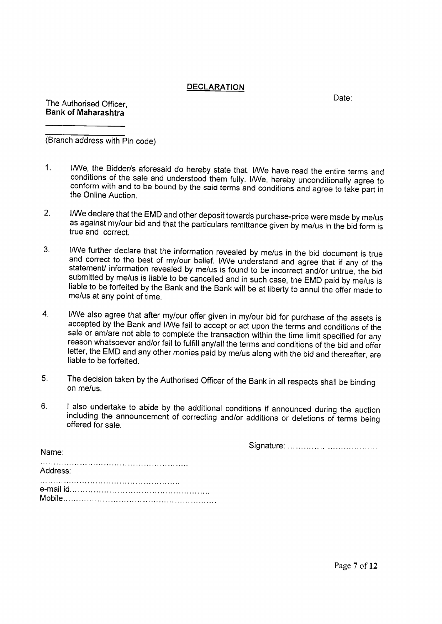### DECLARATION

Date:

The Authorised Officer **Bank of Maharashtra** 

(Branch address with Pin code)

- 1. I/We, the Bidder/s aforesaid do hereby state that, I/We have read the entire terms and conditions of the sale and understood them fully. I/We, hereby unconditionally agree to conform with and to be bound by the said terms
- 2. I/We declare that the EMD and other deposit towards purchase-price were made by me/us as against my/our bid and that the particulars remittance given by me/us in the bid form is true and correct.
- I/We further declare that the information revealed by me/us in the bid document is true<br>and correct to the best of my/our belief. I/We understand and agree that if any of the<br>statement/ information revealed by me/us is fou  $3<sup>1</sup>$
- $\overline{4}$ . I/We also agree that after my/our offer given in my/our bid for purchase of the assets is accepted by the Bank and I/We fail to accept or act upon the terms and conditions of the sale or am/are not able to complete the tra reason whatsoever and/or fail to fulfill anylall the terms and conditions of the bid and offer letter, the EMD and any other monies paid by me/us along with the bid and thereafter, are liable to be forfeited.
- The decision taken by the Authorised Officer of the Bank in all respects shall be binding on me/us. 5.
- I also undertake to abide by the additional conditions if announced during the auction including the announcement of correcting and/or additions or deletions of terms being offered for sale. 6.

Signature:

| Address: |  |  |  |  |  |  |  |  |  |  |  |
|----------|--|--|--|--|--|--|--|--|--|--|--|
|          |  |  |  |  |  |  |  |  |  |  |  |
|          |  |  |  |  |  |  |  |  |  |  |  |

Name<sup>-</sup>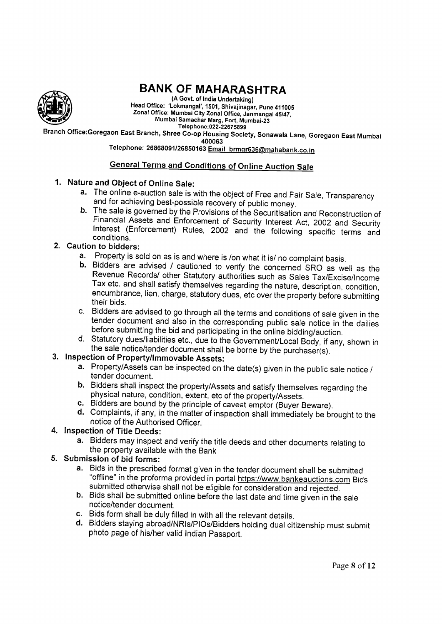

# BANK OF MAHARASHTRA

Telephone:022\_22675899 (A Govt. of India Undertaking) Head Office: 'Lokmangal', 1501, Shivajinagar, Pune 411005 Zonal Office: Mumbai City Zonal Office, Janmangal 45/47, Mumbai Samachar Marg, Fort, Mumbai\_21

Branch Office:Goregaon East Branch, Shree Co-op Housing Society, Sonawala Lane, Goregaon East Mumbai 400063

Telephone: 26868091/26850163 Email brmgr636@mahabank.co.in

### <u>General Terms</u> <u>and Conditions of Online Auction Sale</u>

- 1. Nature and Object of Online Sale:
	- a. The online e-auction sale is with the object of Free and Fair Sale, Transparency and for achieving best-possible recovery of public money.
	- **b.** The sale is governed by the Provisions of the Securitisation and Reconstruction of Financial Assets and Enforcement of Security Interest Act, 2002 and Security Interest (Enforcement) Rules, 2002 and the following spec
- 
- 2. Caution to bidders:<br>**a.** Property is sold on as is and where is /on what it is/ no complaint basis.
	- b. Bidders are advised / cautioned to verify the concerned SRO as well as the<br>Revenue Records/ other Statutory authorities such as Sales Tax/Excise/Income Tax etc. and shall satisfy themselves regarding the nature, description, condition, encumbrance, lien, charge, statutory dues, etc over the property before submitting their bids.
	- c. Bidders are advised to go through all the terms and conditions of sale given in the tender document and also in the corresponding public sale notice in the dailies
- d. Statutory dues/liabilities etc., due to the Government/Local Body, if any, shown in the sale notice/tender document shall be borne by the purchaser(s).<br>3. Inspection of Property/Immovable Assets:

- a. Property/Assets can be inspected on the date(s) given in the public sale notice / tender document.
- b. Bidders shall inspect the property/Assets and satisfy themselves regarding the physical nature, condition, extent, etc of the property/Assets.
- 
- d. Complaints, if any, in the matter of inspection shall immediately be brought to the notice of the Authorised Officer. 4. Inspection of Title Deeds:
- 
- a. Bidders may inspect and verify the title deeds and other documents relating to the property available with the Bank<br>5. Submission of bid forms:<br>**a.** Bids in the prescribed format given in the tender document shall be submitted
- - "offline" in the proforma provided in portal <u>https://www.bankeauctions.com</u> Bids<br>submitted otherwise shall not be eligible for consideration and rejected.
	- b. Bids shall be submitted online before the last date and time given in the sale notice/tender document.<br>
	c. Bids form shall be duly filled in with all the relevant details.
	-
	- d. Bidders staying abroad/NRIs/PIOs/Bidders holding dual citizenship must submit photo page of his/her valid Indian Passport.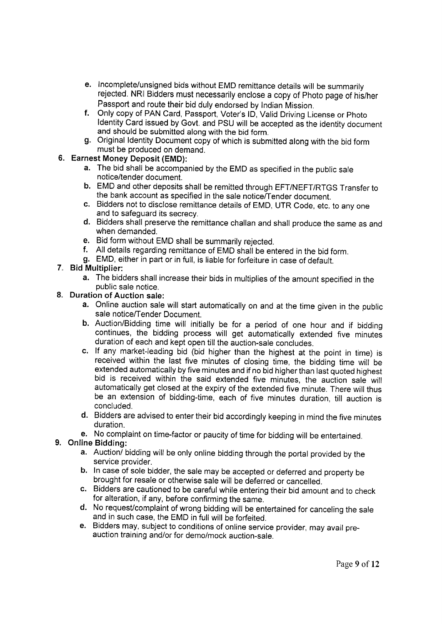- e. Incomplete/unsigned bids without EMD remittance details will be summarily rejected. NRI Bidders must necessarily enclose a copy of Photo page of his/her<br>Passport and route their bid duly endorsed by Indian Mission.
- f. Only copy of PAN Card, Passport, Voter's ID, Valid Driving License or Photo Identity Card issued by Govt. and PSU will be accepted as the identity document and should be submitted along with the bid form.
- g. Original Identity Document copy of which is submitted along with the bid form must be produced on demand.
- Earnest Money Deposit (EMD):
	- a. The bid shall be accompanied by the EMD as specified in the public sale notice/tender document.
	- b. EMD and other deposits shall be remitted through EFT/NEFT/RTGS Transfer to the bank account as specified in the sale notice/Tender document.
	- c. Bidders not to disclose remittance details of EMD, UTR Code, etc. to any one and to safeguard its secrecy.
	- d. Bidders shall preserve the remittance challan and shall produce the same as and when demanded.<br> **e.** Bid form without EMD shall be summarily rejected.
	-
	- f. All details regarding remittance of EMD shall be entered in the bid form.
	- g. EMD, either in part or in full, is liable for forfeiture in case of default.
- 7. Bid Multiplier
	- a. The bidders shall increase their bids in multiplies of the amount specified in the public sale notice.
- 8. Duration of Auction sale:
	- a. Online auction sale will start automatically on and at the time given in the public sale notice/Tender Document.
	- b. Auction/Bidding time will initially be for a period of one hour and if bidding continues, the bidding process will get automatically extended five minutes duration of each and kept open till the auction-sale concludes.
	- c. lf any market-leading bid (bid higher than the highest at the point in time) is received within the last five minutes of closing time, the bidding time will be extended automatically by five minutes and if no bid higher than last quoted highest bid is received within the said extended five minutes, the auction sale will automatically get closed at the expiry of the extended five minute. There will thus be an extension of bidding-time, each of five minutes duration, till auction is concluded.
	- d. Bidders are advised to enter their bid accordingly keeping in mind the five minutes duration.
	- e. No complaint on time-factor or paucity of time for bidding will be entertained.

## 9. Online Bidding:

- a. Auction/ bidding will be only online bidding through the portal provided by the service provider.
- b. In case of sole bidder, the sale may be accepted or deferred and property be brought for resale or otherwise sale will be deferred or cancelled.
- c. Bidders are cautioned to be careful while entering their bid amount and to check for alteration, if any, before confirming the same.
- d. No request/complaint of wrong bidding will be entertained for canceling the sale and in such case, the EMD in full will be forfeited.
- e. Bidders may, subject to conditions of online service provider, may avail preauction training andlor for demo/mock auction-sale.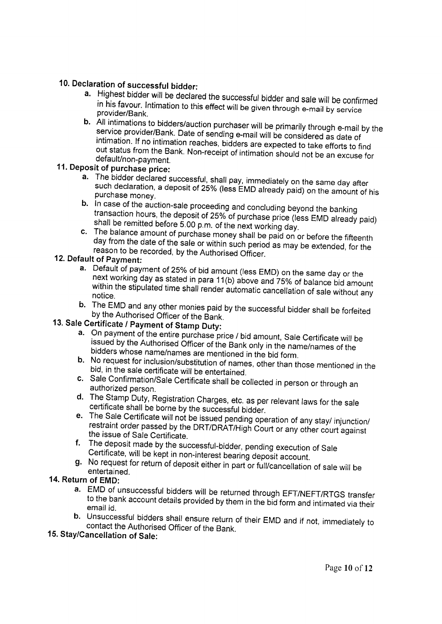- 10. Declaration of successful bidder:<br>
a. Highest bidder will be declared the successful bidder and sale will be confirmed<br>
in his favour. Intimation to this effect will be given through e-mail by service<br>
provider/Bank.
	- **b.** All intimations to bidders/auction purchaser will be primarily through e-mail by the service provider/Bank. Date of sending e-mail will be considered as date of intimation. If no intimation reaches, bidders are expect

## 11. Deposit of purchase price:

- a. The bidder declared successful, shall pay, immediately on the same day after such declaration, a deposit of 25% (less EMD already paid) on the amount of his purchase money.
- **b.** In case of the auction-sale proceeding and concluding beyond the banking<br>transaction hours, the deposit of 25% of purchase price (less EMD already paid)<br>shall be remitted before 5.00 p.m. of the next working day.<br>c.
	-

- a. Default of payment of 25% of bid amount (less EMD) on the same day or the next working day as stated in para 11(b) above and 75% of balance bid amount within the stipulated time shall render automatic cancellation of sale without any<br>notice.
- notice.<br>
b. The EMD and any other monies paid by the successful bidder shall be forfeited<br>
by the Authorised Officer of the Bank.<br>
13. Sale Certificate / Payment of Stamp Duty:

- 
- 
- 
- 
- a. On payment of the entire purchase price / bid amount, Sale Certificate will be<br>issued by the Authorised Officer of the Bank only in the name/names of the<br>bidders whose name/names are mentioned in the bid form.<br>b. No req
	-
	-

- **a.** EMD of unsuccessful bidders will be returned through EFT/NEFT/RTGS transfer<br>to the bank account details provided by them in the bid form and intimated via their<br>email id.<br>**b.** Unsuccessful bidders shall ensure return
- 

## 15. Stay/Cancellation of Sale: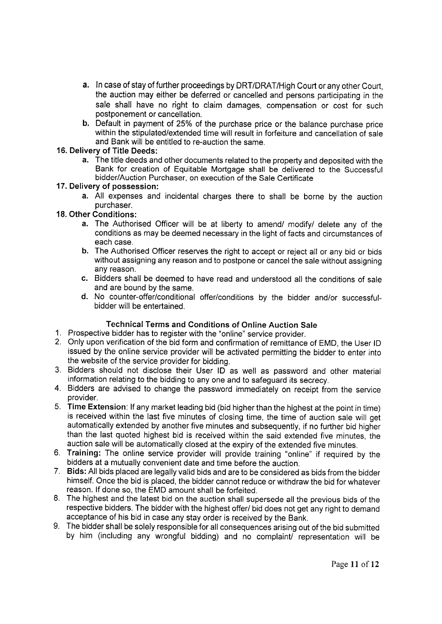- a. In case of stay of further proceedings by DRT/DRAT/High Court or any other Court, the auction may either be deferred or cancelled and persons participating in the sale shall have no right to claim damages, compensation or cost for such postponement or cancellation.
- b. Default in payment of 25% of the purchase price or the balance purchase price within the stipulated/extended time will result in forfeiture and cancellation of sale and Bank will be entitled to re-auction the same.

## 16. Delivery of 'fitle Deeds:

a. The title deeds and other documents related to the property and deposited with the Bank for creation of Equitable Mortgage shall be delivered to the Successful bidder/Auction Purchaser, on execution of the Sale Certificate

## 17. Delivery of possession:

a. All expenses and incidental charges there to shall be borne by the auction purchaser.

## 18. Other Conditions:

- a. The Authorised Officer will be at liberty to amend/ modify/ delete any of the conditions as may be deemed necessary in the light of facts and circumstances of each case.
- b. The Authorised Officer reserves the right to accept or reject all or any bid or bids without assigning any reason and to postpone or cancel the sale without assigning any reason.
- c. Bidders shall be deemed to have read and understood all the conditions of sale and are bound by the same.
- d. No counter-offer/conditional offer/conditions by the bidder and/or successfulbidder will be entertained.

## Technical Terms and Conditions of Online Auction Sale

- 1. Prospective bidder has to register with the "online" service provider
- 2. Only upon verification of the bid form and confirmation of remittance of EMD, the User ID issued by the online service provider will be activated permitting the bidder to enter into the website of the service provider for bidding.
- 3. Bidders should not disclose their User ID as well as password and other materia information relating to the bidding to any one and to safeguard its secrecy.
- 4. Bidders are advised to change the password immediately on receipt from the service provider.
- 5. Time Extension: lf any market leading bid (bid higher than the highest at the point in time) is received within the last five minutes of closing time, the time of auction sale will get automatically extended by another five minutes and subsequently, if no further bid higher than the last quoted highest bid is received within the said extended five minutes, the auction sale will be automatically closed at the expiry of the extended five minutes.
- 6. Training: The online service provider will provide training "online" if required by the bidders at a nnutually convenient date and time before the auction.
- <sup>7</sup>. Bids: All bids placed are legally valid bids and are to be considered as bids from the bidder himself. Once the bid is placed, the bidder cannot reduce or withdraw the bid for whatever reason. lf done so, the EMD amount shall be forfeited.
- 8. The highest and the latest bid on the auction shall supersede all the previous bids of the respective bidders. The bidder with the highest offer/ bid does not get any right to demand acceptance of his bid in case any stay order is received by the Bank.
- 9. The bidder shall be solely responsible for all consequences arising out of the bid submitted by him (including any wrongful bidding) and no complainV representation will be